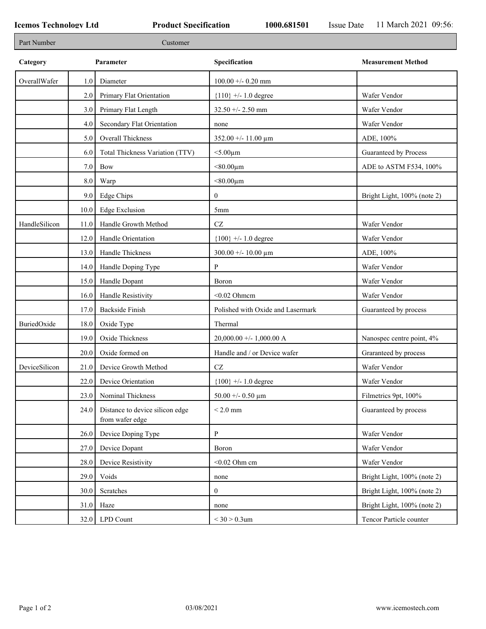| Part Number   |         | Customer                                           |                                        |                             |
|---------------|---------|----------------------------------------------------|----------------------------------------|-----------------------------|
| Category      |         | Parameter                                          | Specification                          | <b>Measurement Method</b>   |
| OverallWafer  | 1.0     | Diameter                                           | $100.00 + -0.20$ mm                    |                             |
|               | 2.0     | Primary Flat Orientation                           | ${110}$ +/- 1.0 degree                 | Wafer Vendor                |
|               | 3.0     | Primary Flat Length                                | $32.50 + - 2.50$ mm                    | Wafer Vendor                |
|               | 4.0     | Secondary Flat Orientation                         | none                                   | Wafer Vendor                |
|               | 5.0     | Overall Thickness                                  | $352.00 + - 11.00 \text{ }\mu\text{m}$ | ADE, 100%                   |
|               | 6.0     | Total Thickness Variation (TTV)                    | $<$ 5.00 $\mu$ m                       | Guaranteed by Process       |
|               | 7.0     | Bow                                                | $< 80.00 \mu m$                        | ADE to ASTM F534, 100%      |
|               | $8.0\,$ | Warp                                               | $<$ 80.00 $\mu$ m                      |                             |
|               | 9.0     | <b>Edge Chips</b>                                  | $\mathbf{0}$                           | Bright Light, 100% (note 2) |
|               | 10.0    | <b>Edge Exclusion</b>                              | 5mm                                    |                             |
| HandleSilicon | 11.0    | Handle Growth Method                               | $\operatorname{CZ}$                    | Wafer Vendor                |
|               | 12.0    | Handle Orientation                                 | ${100}$ +/- 1.0 degree                 | Wafer Vendor                |
|               | 13.0    | Handle Thickness                                   | $300.00 + - 10.00 \mu m$               | ADE, 100%                   |
|               | 14.0    | Handle Doping Type                                 | P                                      | Wafer Vendor                |
|               | 15.0    | Handle Dopant                                      | Boron                                  | Wafer Vendor                |
|               | 16.0    | Handle Resistivity                                 | $<$ 0.02 Ohmcm                         | Wafer Vendor                |
|               | 17.0    | Backside Finish                                    | Polished with Oxide and Lasermark      | Guaranteed by process       |
| BuriedOxide   | 18.0    | Oxide Type                                         | Thermal                                |                             |
|               | 19.0    | Oxide Thickness                                    | 20,000.00 +/- 1,000.00 A               | Nanospec centre point, 4%   |
|               | 20.0    | Oxide formed on                                    | Handle and / or Device wafer           | Graranteed by process       |
| DeviceSilicon | 21.0    | Device Growth Method                               | $\operatorname{CZ}$                    | Wafer Vendor                |
|               | 22.0    | Device Orientation                                 | ${100}$ +/- 1.0 degree                 | Wafer Vendor                |
|               | 23.0    | Nominal Thickness                                  | 50.00 +/- 0.50 $\mu$ m                 | Filmetrics 9pt, 100%        |
|               | 24.0    | Distance to device silicon edge<br>from wafer edge | $< 2.0$ mm                             | Guaranteed by process       |
|               | 26.0    | Device Doping Type                                 | ${\bf P}$                              | Wafer Vendor                |
|               | 27.0    | Device Dopant                                      | Boron                                  | Wafer Vendor                |
|               | 28.0    | Device Resistivity                                 | $<$ 0.02 Ohm cm                        | Wafer Vendor                |
|               | 29.0    | Voids                                              | none                                   | Bright Light, 100% (note 2) |
|               | 30.0    | Scratches                                          | $\mathbf{0}$                           | Bright Light, 100% (note 2) |
|               | 31.0    | Haze                                               | none                                   | Bright Light, 100% (note 2) |
|               | 32.0    | <b>LPD Count</b>                                   | $<$ 30 $>$ 0.3um                       | Tencor Particle counter     |